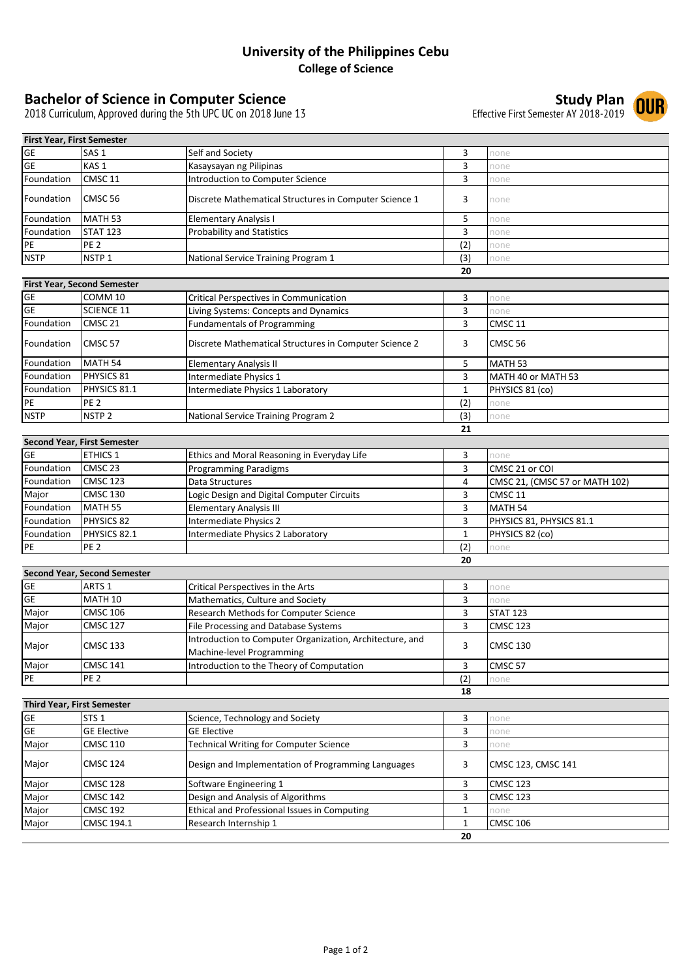### **University of the Philippines Cebu College of Science**

## **Bachelor of Science in Computer Science Study Plan**

2018 Curriculum, Approved during the 5th UPC UC on 2018 June 13 Effective First Semester AY 2018-2019



| <b>First Year, First Semester</b> |                    |                                                        |     |      |
|-----------------------------------|--------------------|--------------------------------------------------------|-----|------|
| <b>GE</b>                         | SAS <sub>1</sub>   | Self and Society                                       |     | none |
| <b>GE</b>                         | KAS <sub>1</sub>   | Kasaysayan ng Pilipinas                                |     | none |
| Foundation                        | CMSC <sub>11</sub> | Introduction to Computer Science                       |     | none |
| Foundation                        | CMSC <sub>56</sub> | Discrete Mathematical Structures in Computer Science 1 |     | none |
| Foundation                        | MATH <sub>53</sub> | <b>Elementary Analysis I</b>                           |     | none |
| Foundation                        | <b>STAT 123</b>    | <b>Probability and Statistics</b>                      |     | none |
| <b>IPE</b>                        | PE <sub>2</sub>    |                                                        | (2) | none |
| <b>NSTP</b>                       | NSTP <sub>1</sub>  | National Service Training Program 1                    | (3) | none |
|                                   |                    |                                                        | 20  |      |

|             | <b>First Year, Second Semester</b> |                                                        |     |                    |
|-------------|------------------------------------|--------------------------------------------------------|-----|--------------------|
| GE          | COMM <sub>10</sub>                 | <b>Critical Perspectives in Communication</b>          |     | none               |
| <b>GE</b>   | <b>SCIENCE 11</b>                  | Living Systems: Concepts and Dynamics                  |     | none               |
| Foundation  | CMSC <sub>21</sub>                 | <b>Fundamentals of Programming</b>                     |     | CMSC <sub>11</sub> |
| Foundation  | CMSC <sub>57</sub>                 | Discrete Mathematical Structures in Computer Science 2 |     | CMSC <sub>56</sub> |
| Foundation  | MATH <sub>54</sub>                 | <b>Elementary Analysis II</b>                          | 5   | MATH <sub>53</sub> |
| Foundation  | PHYSICS 81                         | Intermediate Physics 1                                 | 3   | MATH 40 or MATH 53 |
| Foundation  | PHYSICS 81.1                       | Intermediate Physics 1 Laboratory                      |     | PHYSICS 81 (co)    |
| <b>IPE</b>  | <b>PE 2</b>                        |                                                        | (2) | none               |
| <b>NSTP</b> | NSTP <sub>2</sub>                  | National Service Training Program 2                    | (3) | none               |
|             |                                    |                                                        | 21  |                    |

| <b>Second Year, First Semester</b> |                     |                                                    |     |                                |
|------------------------------------|---------------------|----------------------------------------------------|-----|--------------------------------|
| <b>GE</b>                          | <b>ETHICS 1</b>     | <b>Ethics and Moral Reasoning in Everyday Life</b> |     | none                           |
| Foundation                         | CMSC <sub>23</sub>  | <b>Programming Paradigms</b>                       |     | CMSC 21 or COI                 |
| Foundation                         | <b>CMSC 123</b>     | Data Structures                                    | 4   | CMSC 21, (CMSC 57 or MATH 102) |
| Major                              | CMSC 130            | Logic Design and Digital Computer Circuits         |     | CMSC <sub>11</sub>             |
| Foundation                         | MATH <sub>55</sub>  | <b>Elementary Analysis III</b>                     |     | MATH <sub>54</sub>             |
| Foundation                         | <b>PHYSICS 82</b>   | Intermediate Physics 2                             |     | PHYSICS 81, PHYSICS 81.1       |
| Foundation                         | <b>PHYSICS 82.1</b> | Intermediate Physics 2 Laboratory                  |     | PHYSICS 82 (co)                |
| PE                                 | <b>PE 2</b>         |                                                    | (2) | none                           |
|                                    |                     |                                                    | 20  |                                |

| <b>Second Year, Second Semester</b> |                   |                                                          |     |                    |
|-------------------------------------|-------------------|----------------------------------------------------------|-----|--------------------|
| <b>GE</b>                           | ARTS <sub>1</sub> | Critical Perspectives in the Arts                        |     | none               |
| <b>GE</b>                           | MATH 10           | Mathematics, Culture and Society                         |     | none               |
| Major                               | <b>CMSC 106</b>   | <b>Research Methods for Computer Science</b>             |     | <b>STAT 123</b>    |
| Major                               | <b>CMSC 127</b>   | File Processing and Database Systems                     |     | CMSC 123           |
| Major                               | <b>CMSC 133</b>   | Introduction to Computer Organization, Architecture, and |     | <b>CMSC 130</b>    |
|                                     |                   | Machine-level Programming                                |     |                    |
| Major                               | <b>CMSC 141</b>   | Introduction to the Theory of Computation                |     | CMSC <sub>57</sub> |
| PE                                  | <b>PE 2</b>       |                                                          | (2) | none               |
|                                     |                   |                                                          | 18  |                    |

| <b>Third Year, First Semester</b> |                    |                                                    |    |                    |
|-----------------------------------|--------------------|----------------------------------------------------|----|--------------------|
| <b>GE</b>                         | STS <sub>1</sub>   | Science, Technology and Society                    |    | none               |
| <b>GE</b>                         | <b>GE Elective</b> | <b>GE Elective</b>                                 |    | none               |
| Major                             | CMSC 110           | <b>Technical Writing for Computer Science</b>      |    | none               |
| Major                             | CMSC 124           | Design and Implementation of Programming Languages |    | CMSC 123, CMSC 141 |
| Major                             | <b>CMSC 128</b>    | Software Engineering 1                             |    | <b>CMSC 123</b>    |
| Major                             | CMSC 142           | Design and Analysis of Algorithms                  | 3  | <b>CMSC 123</b>    |
| Major                             | CMSC 192           | Ethical and Professional Issues in Computing       |    | none               |
| Major                             | <b>CMSC 194.1</b>  | Research Internship 1                              |    | CMSC 106           |
|                                   |                    |                                                    | 20 |                    |